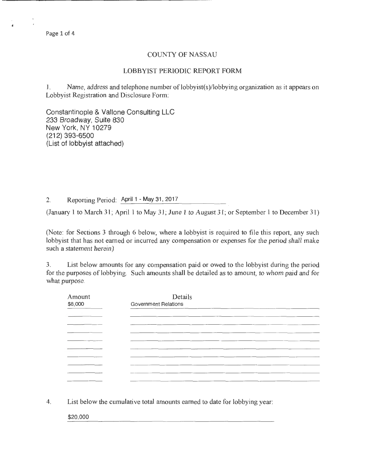## COUNTY OF NASSAU

## LOBBYIST PERIODIC REPORT FORM

1. Name, address and telephone number of lobbyist(s)/lobbying organization as it appears on Lobbyist Registration and Disclosure Form:

Constantinople & Vallone Consulting LLC 233 Broadway, Suite 830 New York, NY 10279 (212) 393-6500 (List of lobbyist attached)

2. Reporting Period: April 1 - May 31, 2017

(January 1 to March 31; April 1 to May 31; June 1 to August 31; or September 1 to December 31)

(Note: for Sections 3 through 6 below, where a lobbyist is required to file this report, any such lobbyist that has not earned or incurred any compensation or expenses for the period shall make such a statement herein)

3. List below amounts for any compensation paid or owed to the lobbyist during the period for the purposes of lobbying. Such amounts shall be detailed as to amount, to whom paid and for what purpose.

| Amount<br>\$8,000 | Details<br>Government Relations                                                                                 |
|-------------------|-----------------------------------------------------------------------------------------------------------------|
|                   |                                                                                                                 |
|                   | the contract of the contract of the contract of the contract of the contract of the contract of the contract of |
|                   |                                                                                                                 |
|                   |                                                                                                                 |
|                   | ________                                                                                                        |
|                   | the property of the company of the company of the company of the company of the company of the company of the   |
|                   |                                                                                                                 |
|                   |                                                                                                                 |
|                   |                                                                                                                 |
|                   |                                                                                                                 |
|                   |                                                                                                                 |
|                   |                                                                                                                 |

4. List below the cumulative total amounts earned to date for lobbying year:

\$20,000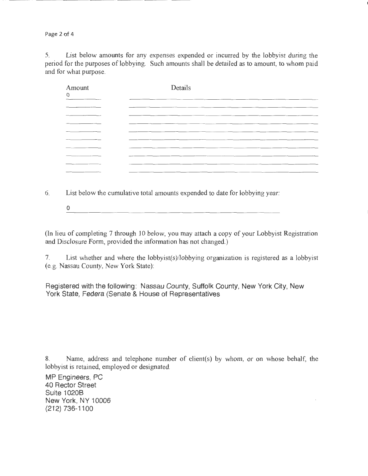Page 2 of 4

5. List below amounts for any expenses expended or incurred by the lobbyist during the period for the purposes of lobbying. Such amounts shall be detailed as to amount, to whom paid and for what purpose.

| Amount<br>O | Details                                                                                                             |
|-------------|---------------------------------------------------------------------------------------------------------------------|
|             |                                                                                                                     |
|             | and the contract of the contract of the contract of the contract of the contract of the contract of the contract of |
|             | ____<br>___                                                                                                         |
|             |                                                                                                                     |
| ______      | ----<br>----                                                                                                        |
|             | _____                                                                                                               |
|             | ---                                                                                                                 |
|             |                                                                                                                     |

6. List below the cumulative total amounts expended to date for lobbying year:

<u> 1980 - Jan Barnett, mars ann an t-Amerikaansk ferfinger om de formale foar de foarmen fan de foarmen fan de f</u> 0

(In lieu of completing 7 through 10 below, you may attach a copy of your Lobbyist Registration and Disclosure Form, provided the information has not changed.)

7. List whether and where the lobbyist(s)/lobbying organization is registered as a lobbyist (e.g. Nassau County, New York State):

Registered with the following: Nassau County, Suffolk County, New York City, New York State, Federa (Senate & House of Representatives

8. Name, address and telephone number of client(s) by whom, or on whose behalf, the lobbyist is retained, employed or designated.

MP Engineers, PC 40 Rector Street Suite 10208 New York , NY 10006 (212) 736-1100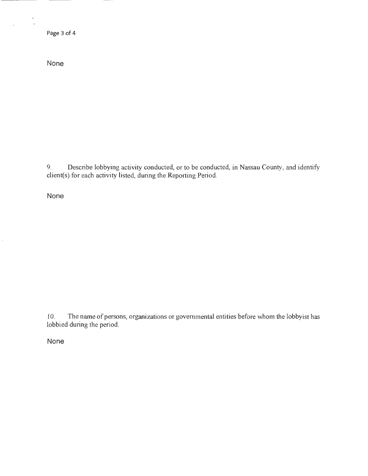Page 3 of 4

 $\frac{1}{\epsilon}$ 

 $\overline{\phantom{a}}$ 

None

9. Describe lobbying activity conducted, or to be conducted, in Nassau County, and identify client(s) for each activity listed, during the Reporting Period.

None

10. The name of persons, organizations or governmental entities before whom the lobbyist has lobbied during the period.

None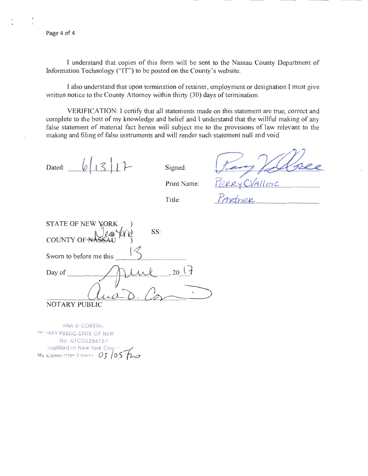I understand that copies of this form will be sent to the Nassau County Department of Information Technology ("IT") to be posted on the County's website.

I also understand that upon termination of retainer, employment or designation I must give written notice to the County Attorney within thirty (30) days of termination.

VERIFICATION: I certify that all statements made on this statement are true, correct and complete to the best of my knowledge and belief and I understand that the willful making of any false statement of material fact herein will subject me to the provisions of law relevant to the making and filing of false instruments and will render such statement **null** and void.

Dated:  $6/3/7$  Signed:

ERYCVALLONE

Print Name:

Title:

|                         | ----- |  |
|-------------------------|-------|--|
|                         |       |  |
| STATE OF NEW YORK       |       |  |
| SS:                     |       |  |
| COUNTY OF N             |       |  |
|                         |       |  |
| Sworn to before me this |       |  |
| Day of                  | , 20( |  |
|                         |       |  |
|                         |       |  |
| TARY PUBLIC             |       |  |

ANA D CORSINL. NOTARY PUBLIC-STATE OF NEW No. OlC06256757 Qualified in New York Council<br>My Commission Expires 03 (05 Fig.